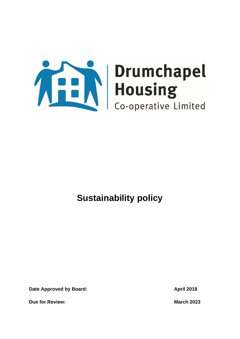

**Date Approved by Board: April 2018** 

**Due for Review: March 2023**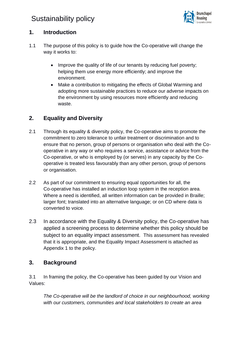

### **1. Introduction**

- 1.1 The purpose of this policy is to guide how the Co-operative will change the way it works to:
	- Improve the quality of life of our tenants by reducing fuel poverty; helping them use energy more efficiently; and improve the environment.
	- Make a contribution to mitigating the effects of Global Warming and adopting more sustainable practices to reduce our adverse impacts on the environment by using resources more efficiently and reducing waste.

### **2. Equality and Diversity**

- 2.1 Through its equality & diversity policy, the Co-operative aims to promote the commitment to zero tolerance to unfair treatment or discrimination and to ensure that no person, group of persons or organisation who deal with the Cooperative in any way or who requires a service, assistance or advice from the Co-operative, or who is employed by (or serves) in any capacity by the Cooperative is treated less favourably than any other person, group of persons or organisation.
- 2.2 As part of our commitment to ensuring equal opportunities for all, the Co-operative has installed an induction loop system in the reception area. Where a need is identified, all written information can be provided in Braille; larger font; translated into an alternative language; or on CD where data is converted to voice.
- 2.3 In accordance with the Equality & Diversity policy, the Co-operative has applied a screening process to determine whether this policy should be subject to an equality impact assessment. This assessment has revealed that it is appropriate, and the Equality Impact Assessment is attached as Appendix 1 to the policy.

### **3. Background**

3.1 In framing the policy, the Co-operative has been guided by our Vision and Values:

*The Co-operative will be the landlord of choice in our neighbourhood, working with our customers, communities and local stakeholders to create an area*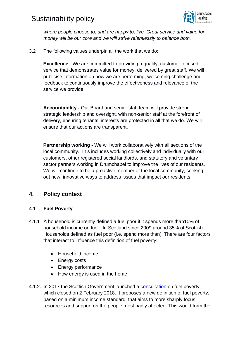

*where people choose to, and are happy to, live. Great service and value for money will be our core and we will strive relentlessly to balance both.*

3.2 The following values underpin all the work that we do:

**Excellence -** We are committed to providing a quality, customer focused service that demonstrates value for money, delivered by great staff. We will publicise information on how we are performing, welcoming challenge and feedback to continuously improve the effectiveness and relevance of the service we provide.

**Accountability -** Our Board and senior staff team will provide strong strategic leadership and oversight, with non-senior staff at the forefront of delivery, ensuring tenants' interests are protected in all that we do. We will ensure that our actions are transparent.

**Partnership working -** We will work collaboratively with all sections of the local community. This includes working collectively and individually with our customers, other registered social landlords, and statutory and voluntary sector partners working in Drumchapel to improve the lives of our residents. We will continue to be a proactive member of the local community, seeking out new, innovative ways to address issues that impact our residents.

### **4. Policy context**

### 4.1 **Fuel Poverty**

- 4.1.1 A household is currently defined a fuel poor if it spends more than10% of household income on fuel. In Scotland since 2009 around 35% of Scottish Households defined as fuel poor (i.e. spend more than). There are four factors that interact to influence this definition of fuel poverty:
	- Household income
	- Energy costs
	- Energy performance
	- How energy is used in the home
- 4.1.2. In 2017 the Scottish Government launched a [consultation](http://www.gov.scot/Publications/2017/11/6179) on fuel poverty, which closed on 2 February 2018. It proposes a new definition of fuel poverty, based on a minimum income standard, that aims to more sharply focus resources and support on the people most badly affected. This would form the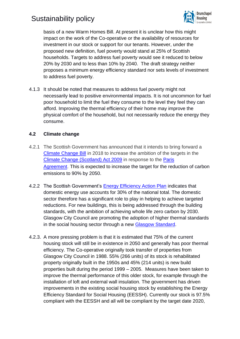

basis of a new Warm Homes Bill. At present it is unclear how this might impact on the work of the Co-operative or the availability of resources for investment in our stock or support for our tenants. However, under the proposed new definition, fuel poverty would stand at 25% of Scottish households. Targets to address fuel poverty would see it reduced to below 20% by 2030 and to less than 10% by 2040. The draft strategy neither proposes a minimum energy efficiency standard nor sets levels of investment to address fuel poverty.

4.1.3 It should be noted that measures to address fuel poverty might not necessarily lead to positive environmental impacts. It is not uncommon for fuel poor household to limit the fuel they consume to the level they feel they can afford. Improving the thermal efficiency of their home may improve the physical comfort of the household, but not necessarily reduce the energy they consume.

### **4.2 Climate change**

- 4.2.1 The Scottish Government has announced that it intends to bring forward a [Climate Change Bill](http://www.gov.scot/Topics/Environment/climatechange/Newclimatechangebill) in 2018 to increase the ambition of the targets in the [Climate Change \(Scotland\) Act 2009](https://www.legislation.gov.uk/asp/2009/12/contents) in response to the [Paris](http://www.un.org/sustainabledevelopment/climatechange/)  [Agreement.](http://www.un.org/sustainabledevelopment/climatechange/) This is expected to increase the target for the reduction of carbon emissions to 90% by 2050.
- 4.2.2 The Scottish Government's [Energy Efficiency Action Plan](http://www.gov.scot/Topics/Business-Industry/Energy/Action/energy-efficiency-policy/ActionPlan) indicates that domestic energy use accounts for 30% of the national total. The domestic sector therefore has a significant role to play in helping to achieve targeted reductions. For new buildings, this is being addressed through the building standards, with the ambition of achieving whole life zero carbon by 2030. Glasgow City Council are promoting the adoption of higher thermal standards in the social housing sector through a new [Glasgow Standard.](https://www.glasgow.gov.uk/CHttpHandler.ashx?id=38286&p=0)
- 4.2.3. A more pressing problem is that it is estimated that 75% of the current housing stock will still be in existence in 2050 and generally has poor thermal efficiency. The Co-operative originally took transfer of properties from Glasgow City Council in 1988. 55% (266 units) of its stock is rehabilitated property originally built in the 1950s and 45% (214 units) is new build properties built during the period 1999 – 2005. Measures have been taken to improve the thermal performance of this older stock, for example through the installation of loft and external wall insulation. The government has driven improvements in the existing social housing stock by establishing the Energy Efficiency Standard for Social Housing (EESSH). Currently our stock is 97.5% compliant with the EESSH and all will be compliant by the target date 2020,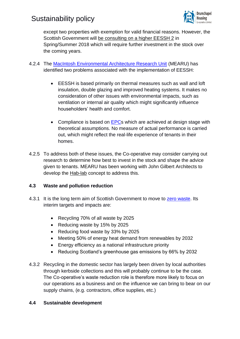

except two properties with exemption for valid financial reasons. However, the Scottish Government will [be consulting on a higher EESSH 2](https://beta.gov.scot/policies/home-energy-and-fuel-poverty/energy-efficiency-in-social-housing/) in Spring/Summer 2018 which will require further investment in the stock over the coming years.

- 4.2.4 The [MacIntosh Environmental Architecture Research Unit](http://www.gsa.ac.uk/research/research-centres/mearu/) (MEARU) has identified two problems associated with the implementation of EESSH:
	- EESSH is based primarily on thermal measures such as wall and loft insulation, double glazing and improved heating systems. It makes no consideration of other issues with environmental impacts, such as ventilation or internal air quality which might significantly influence householders' health and comfort.
	- Compliance is based on [EPCs](http://www.gov.scot/Topics/Built-Environment/Building/Building-standards/enerperfor) which are achieved at design stage with theoretical assumptions. No measure of actual performance is carried out, which might reflect the real-life experience of tenants in their homes.
- 4.2.5 To address both of these issues, the Co-operative may consider carrying out research to determine how best to invest in the stock and shape the advice given to tenants. MEARU has been working with John Gilbert Architects to develop the [Hab-lab](http://www.retrofitscotland.org/news-events/2015/12/introducing-the-hab-lab-case-studies/) concept to address this.

### **4.3 Waste and pollution reduction**

- 4.3.1 It is the long term aim of Scottish Government to move to [zero waste.](http://www.zerowastescotland.org.uk/content/who-we-are) Its interim targets and impacts are:
	- Recycling 70% of all waste by 2025
	- Reducing waste by 15% by 2025
	- Reducing food waste by 33% by 2025
	- Meeting 50% of energy heat demand from renewables by 2032
	- Energy efficiency as a national infrastructure priority
	- Reducing Scotland's greenhouse gas emissions by 66% by 2032
- 4.3.2 Recycling in the domestic sector has largely been driven by local authorities through kerbside collections and this will probably continue to be the case. The Co-operative's waste reduction role is therefore more likely to focus on our operations as a business and on the influence we can bring to bear on our supply chains, (e.g. contractors, office supplies, etc.)

### **4.4 Sustainable development**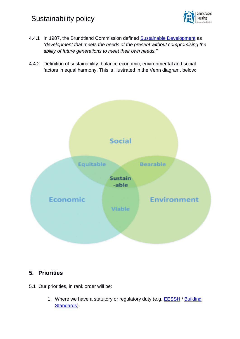

- 4.4.1 In 1987, the Brundtland Commission defined [Sustainable Development](http://www.gov.scot/Topics/Environment/SustainableDevelopment) as "*development that meets the needs of the present without compromising the ability of future generations to meet their own needs."*
- 4.4.2 Definition of sustainability: balance economic, environmental and social factors in equal harmony. This is illustrated in the Venn diagram, below:



### **5. Priorities**

- 5.1 Our priorities, in rank order will be:
	- 1. Where we have a statutory or regulatory duty (e.g. **EESSH** / Building [Standards\)](https://beta.gov.scot/policies/building-standards/).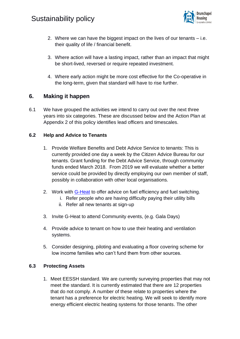

- 2. Where we can have the biggest impact on the lives of our tenants i.e. their quality of life / financial benefit.
- 3. Where action will have a lasting impact, rather than an impact that might be short-lived, reversed or require repeated investment.
- 4. Where early action might be more cost effective for the Co-operative in the long-term, given that standard will have to rise further.

### **6. Making it happen**

6.1 We have grouped the activities we intend to carry out over the next three years into six categories. These are discussed below and the Action Plan at Appendix 2 of this policy identifies lead officers and timescales.

### **6.2 Help and Advice to Tenants**

- 1. Provide Welfare Benefits and Debt Advice Service to tenants: This is currently provided one day a week by the Citizen Advice Bureau for our tenants. Grant funding for the Debt Advice Service, through community funds ended March 2018. From 2019 we will evaluate whether a better service could be provided by directly employing our own member of staff, possibly in collaboration with other local organisations.
- 2. Work with [G-Heat](https://www.g-heat.org.uk/) to offer advice on fuel efficiency and fuel switching.
	- i. Refer people who are having difficulty paying their utility bills
	- ii. Refer all new tenants at sign-up
- 3. Invite G-Heat to attend Community events, (e.g. Gala Days)
- 4. Provide advice to tenant on how to use their heating and ventilation systems.
- 5. Consider designing, piloting and evaluating a floor covering scheme for low income families who can't fund them from other sources.

### **6.3 Protecting Assets**

1. Meet EESSH standard. We are currently surveying properties that may not meet the standard. It is currently estimated that there are 12 properties that do not comply. A number of these relate to properties where the tenant has a preference for electric heating. We will seek to identify more energy efficient electric heating systems for those tenants. The other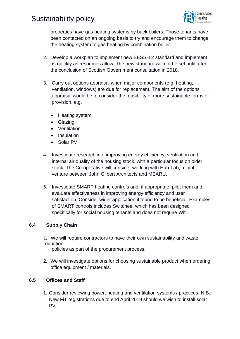

properties have gas heating systems by back boilers. Those tenants have been contacted on an ongoing basis to try and encourage them to change the heating system to gas heating by combination boiler.

- 2. Develop a workplan to implement new EESSH 2 standard and implement as quickly as resources allow. The new standard will not be set until after the conclusion of Scottish Government consultation in 2018.
- 3. Carry out options appraisal when major components (e.g. heating, ventilation, windows) are due for replacement. The aim of the options appraisal would be to consider the feasibility of more sustainable forms of provision. e.g.
	- Heating system
	- Glazing
	- Ventilation
	- Insulation
	- Solar PV
- 4. Investigate research into improving energy efficiency, ventilation and internal air quality of the housing stock, with a particular focus on older stock. The Co-operative will consider working with Hab-Lab, a joint venture between John Gilbert Architects and MEARU.
- 5. Investigate SMART heating controls and, if appropriate, pilot them and evaluate effectiveness in improving energy efficiency and user satisfaction. Consider wider application if found to be beneficial. Examples of SMART controls includes Switchee, which has been designed specifically for social housing tenants and does not require Wifi.

### **6.4 Supply Chain**

1. We will require contractors to have their own sustainability and waste reduction

policies as part of the procurement process.

2. We will investigate options for choosing sustainable product when ordering office equipment / materials.

### **6.5 Offices and Staff**

1. Consider reviewing power, heating and ventilation systems / practices. N.B. New FiT registrations due to end April 2019 should we wish to install solar PV.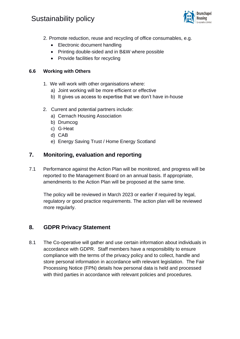

- 2. Promote reduction, reuse and recycling of office consumables, e.g.
	- Electronic document handling
	- Printing double-sided and in B&W where possible
	- Provide facilities for recycling

### **6.6 Working with Others**

- 1. We will work with other organisations where:
	- a) Joint working will be more efficient or effective
	- b) It gives us access to expertise that we don't have in-house
- 2. Current and potential partners include:
	- a) Cernach Housing Association
	- b) Drumcog
	- c) G-Heat
	- d) CAB
	- e) Energy Saving Trust / Home Energy Scotland

### **7. Monitoring, evaluation and reporting**

7.1 Performance against the Action Plan will be monitored, and progress will be reported to the Management Board on an annual basis. If appropriate, amendments to the Action Plan will be proposed at the same time.

The policy will be reviewed in March 2023 or earlier if required by legal, regulatory or good practice requirements. The action plan will be reviewed more regularly.

### **8. GDPR Privacy Statement**

8.1 The Co-operative will gather and use certain information about individuals in accordance with GDPR. Staff members have a responsibility to ensure compliance with the terms of the privacy policy and to collect, handle and store personal information in accordance with relevant legislation. The Fair Processing Notice (FPN) details how personal data is held and processed with third parties in accordance with relevant policies and procedures.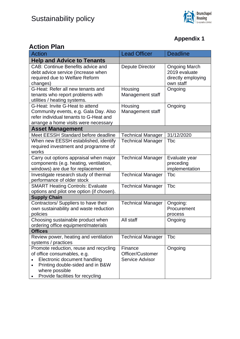

### **Appendix 1**

### **Action Plan**

| NUNUI I                                                                    | <b>Lead Officer</b>      | <b>Deadline</b>            |
|----------------------------------------------------------------------------|--------------------------|----------------------------|
| Action                                                                     |                          |                            |
| <b>Help and Advice to Tenants</b>                                          |                          |                            |
| <b>CAB: Continue Benefits advice and</b>                                   | Depute Director          | <b>Ongoing March</b>       |
| debt advice service (increase when                                         |                          | 2019 evaluate              |
| required due to Welfare Reform                                             |                          | directly employing         |
| changes)                                                                   |                          | own staff                  |
| G-Heat: Refer all new tenants and                                          | Housing                  | Ongoing                    |
| tenants who report problems with                                           | Management staff         |                            |
| utilities / heating systems.                                               |                          |                            |
| G-Heat: Invite G-Heat to attend                                            | Housing                  | Ongoing                    |
| Community events, e.g. Gala Day. Also                                      | Management staff         |                            |
| refer individual tenants to G-Heat and                                     |                          |                            |
| arrange a home visits were necessary                                       |                          |                            |
| <b>Asset Management</b>                                                    |                          |                            |
| Meet EESSH Standard before deadline                                        | <b>Technical Manager</b> | 31/12/2020                 |
| When new EESSH established, identify                                       | <b>Technical Manager</b> | <b>T</b> bc                |
| required investment and programme of<br>works                              |                          |                            |
|                                                                            |                          |                            |
| Carry out options appraisal when major                                     | <b>Technical Manager</b> | Evaluate year<br>preceding |
| components (e.g. heating, ventilation,<br>windows) are due for replacement |                          | implementation             |
| Investigate research study of thermal                                      | <b>Technical Manager</b> | <b>Tbc</b>                 |
| performance of older stock                                                 |                          |                            |
| <b>SMART Heating Controls: Evaluate</b>                                    | <b>Technical Manager</b> | <b>Tbc</b>                 |
| options and pilot one option (if chosen).                                  |                          |                            |
| <b>Supply Chain</b>                                                        |                          |                            |
| Contractors/ Suppliers to have their                                       | <b>Technical Manager</b> | Ongoing:                   |
| own sustainability and waste reduction                                     |                          | Procurement                |
| policies                                                                   |                          | process                    |
| Choosing sustainable product when                                          | All staff                | Ongoing                    |
| ordering office equipment/materials                                        |                          |                            |
| <b>Offices</b>                                                             |                          |                            |
| Review power, heating and ventilation                                      | <b>Technical Manager</b> | <b>T</b> bc                |
| systems / practices                                                        |                          |                            |
| Promote reduction, reuse and recycling                                     | Finance                  | Ongoing                    |
| of office consumables, e.g.                                                | Officer/Customer         |                            |
| Electronic document handling                                               | Service Advisor          |                            |
| Printing double-sided and in B&W                                           |                          |                            |
| where possible                                                             |                          |                            |
| Provide facilities for recycling                                           |                          |                            |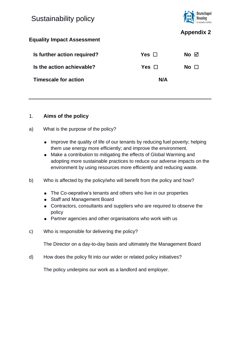

### **Appendix 2**

### **Equality Impact Assessment**

| Is further action required? | Yes Π         | No ⊠  |
|-----------------------------|---------------|-------|
| Is the action achievable?   | Yes $\square$ | No II |
| <b>Timescale for action</b> | N/A           |       |

### 1. **Aims of the policy**

- a) What is the purpose of the policy?
	- Improve the quality of life of our tenants by reducing fuel poverty; helping them use energy more efficiently; and improve the environment.
	- Make a contribution to mitigating the effects of Global Warming and adopting more sustainable practices to reduce our adverse impacts on the environment by using resources more efficiently and reducing waste.
- b) Who is affected by the policy/who will benefit from the policy and how?
	- The Co-oeprative's tenants and others who live in our properties
	- Staff and Management Board
	- Contractors, consultants and suppliers who are required to observe the policy
	- Partner agencies and other organisations who work with us
- c) Who is responsible for delivering the policy?

The Director on a day-to-day basis and ultimately the Management Board

d) How does the policy fit into our wider or related policy initiatives?

The policy underpins our work as a landlord and employer.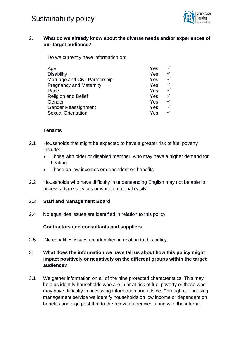

### 2. **What do we already know about the diverse needs and/or experiences of our target audience?**

Do we currently have information on:

| Yes |              |
|-----|--------------|
| Yes |              |
| Yes |              |
| Yes |              |
| Yes | $\checkmark$ |
| Yes | $\checkmark$ |
| Yes | $\checkmark$ |
| Yes | $\checkmark$ |
| Yes | ✓            |
|     |              |

#### **Tenants**

- 2.1 Households that might be expected to have a greater risk of fuel poverty include:
	- Those with older or disabled member, who may have a higher demand for heating.
	- Those on low incomes or dependent on benefits
- 2.2 Households who have difficulty in understanding English may not be able to access advice services or written material easily.

### 2.3 **Staff and Management Board**

2.4 No equalities issues are identified in relation to this policy.

#### **Contractors and consultants and suppliers**

2.5 No equalities issues are identified in relation to this policy.

### 3. **What does the information we have tell us about how this policy might impact positively or negatively on the different groups within the target audience?**

3.1 We gather information on all of the nine protected characteristics. This may help us identify households who are in or at risk of fuel poverty or those who may have difficulty in accessing information and advice. Through our housing management service we identify households on low income or dependant on benefits and sign post thm to the relevant agencies along with the internal